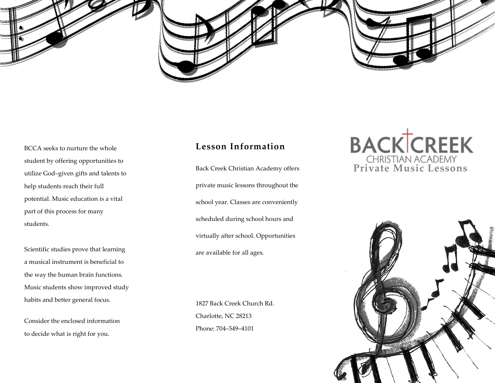



BCCA seeks to nurture the whole student by offering opportunities to utilize God–given gifts and talents to help students reach their full potential. Music education is a vital part of this process for many students.

Scientific studies prove that learning a musical instrument is beneficial to the way the human brain functions. Music students show improved study habits and better general focus.

Consider the enclosed information to decide what is right for you.

#### **Lesson Information**

Back Creek Christian Academy offers private music lessons throughout the school year. Classes are conveniently scheduled during school hours and virtually after school. Opportunities are available for all ages.

1827 Back Creek Church Rd. Charlotte, NC 28213 Phone: 704–549–4101

# **BACK CREEK**<br> **Private Music Lessons**